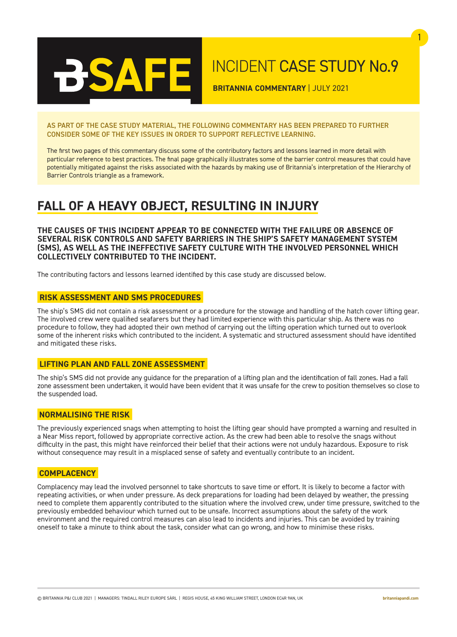

## INCIDENT CASE STUDY No.9

1

**BRITANNIA COMMENTARY** | JULY 2021

AS PART OF THE CASE STUDY MATERIAL, THE FOLLOWING COMMENTARY HAS BEEN PREPARED TO FURTHER CONSIDER SOME OF THE KEY ISSUES IN ORDER TO SUPPORT REFLECTIVE LEARNING.

The first two pages of this commentary discuss some of the contributory factors and lessons learned in more detail with particular reference to best practices. The final page graphically illustrates some of the barrier control measures that could have potentially mitigated against the risks associated with the hazards by making use of Britannia's interpretation of the Hierarchy of Barrier Controls triangle as a framework.

### **FALL OF A HEAVY OBJECT, RESULTING IN INJURY**

**THE CAUSES OF THIS INCIDENT APPEAR TO BE CONNECTED WITH THE FAILURE OR ABSENCE OF SEVERAL RISK CONTROLS AND SAFETY BARRIERS IN THE SHIP'S SAFETY MANAGEMENT SYSTEM (SMS), AS WELL AS THE INEFFECTIVE SAFETY CULTURE WITH THE INVOLVED PERSONNEL WHICH COLLECTIVELY CONTRIBUTED TO THE INCIDENT.**

The contributing factors and lessons learned identified by this case study are discussed below.

### **RISK ASSESSMENT AND SMS PROCEDURES**

The ship's SMS did not contain a risk assessment or a procedure for the stowage and handling of the hatch cover lifting gear. The involved crew were qualified seafarers but they had limited experience with this particular ship. As there was no procedure to follow, they had adopted their own method of carrying out the lifting operation which turned out to overlook some of the inherent risks which contributed to the incident. A systematic and structured assessment should have identified and mitigated these risks.

### **LIFTING PLAN AND FALL ZONE ASSESSMENT**

The ship's SMS did not provide any guidance for the preparation of a lifting plan and the identification of fall zones. Had a fall zone assessment been undertaken, it would have been evident that it was unsafe for the crew to position themselves so close to the suspended load.

### **NORMALISING THE RISK**

The previously experienced snags when attempting to hoist the lifting gear should have prompted a warning and resulted in a Near Miss report, followed by appropriate corrective action. As the crew had been able to resolve the snags without difficulty in the past, this might have reinforced their belief that their actions were not unduly hazardous. Exposure to risk without consequence may result in a misplaced sense of safety and eventually contribute to an incident.

### **COMPLACENCY**

Complacency may lead the involved personnel to take shortcuts to save time or effort. It is likely to become a factor with repeating activities, or when under pressure. As deck preparations for loading had been delayed by weather, the pressing need to complete them apparently contributed to the situation where the involved crew, under time pressure, switched to the previously embedded behaviour which turned out to be unsafe. Incorrect assumptions about the safety of the work environment and the required control measures can also lead to incidents and injuries. This can be avoided by training oneself to take a minute to think about the task, consider what can go wrong, and how to minimise these risks.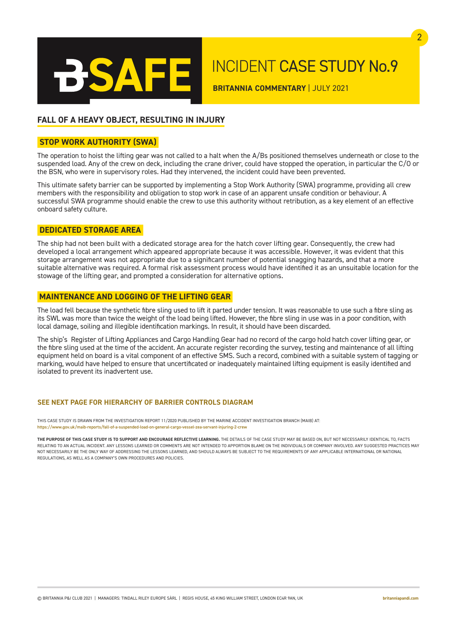

# INCIDENT CASE STUDY No.9

**BRITANNIA COMMENTARY** | JULY 2021

### **FALL OF A HEAVY OBJECT, RESULTING IN INJURY**

### **STOP WORK AUTHORITY (SWA)**

The operation to hoist the lifting gear was not called to a halt when the A/Bs positioned themselves underneath or close to the suspended load. Any of the crew on deck, including the crane driver, could have stopped the operation, in particular the C/O or the BSN, who were in supervisory roles. Had they intervened, the incident could have been prevented.

This ultimate safety barrier can be supported by implementing a Stop Work Authority (SWA) programme, providing all crew members with the responsibility and obligation to stop work in case of an apparent unsafe condition or behaviour. A successful SWA programme should enable the crew to use this authority without retribution, as a key element of an effective onboard safety culture.

### **DEDICATED STORAGE AREA**

The ship had not been built with a dedicated storage area for the hatch cover lifting gear. Consequently, the crew had developed a local arrangement which appeared appropriate because it was accessible. However, it was evident that this storage arrangement was not appropriate due to a significant number of potential snagging hazards, and that a more suitable alternative was required. A formal risk assessment process would have identified it as an unsuitable location for the stowage of the lifting gear, and prompted a consideration for alternative options.

### **MAINTENANCE AND LOGGING OF THE LIFTING GEAR**

The load fell because the synthetic fibre sling used to lift it parted under tension. It was reasonable to use such a fibre sling as its SWL was more than twice the weight of the load being lifted. However, the fibre sling in use was in a poor condition, with local damage, soiling and illegible identification markings. In result, it should have been discarded.

The ship's Register of Lifting Appliances and Cargo Handling Gear had no record of the cargo hold hatch cover lifting gear, or the fibre sling used at the time of the accident. An accurate register recording the survey, testing and maintenance of all lifting equipment held on board is a vital component of an effective SMS. Such a record, combined with a suitable system of tagging or marking, would have helped to ensure that uncertificated or inadequately maintained lifting equipment is easily identified and isolated to prevent its inadvertent use.

### **SEE NEXT PAGE FOR HIERARCHY OF BARRIER CONTROLS DIAGRAM**

THIS CASE STUDY IS DRAWN FROM THE INVESTIGATION REPORT 11/2020 PUBLISHED BY THE MARINE ACCIDENT INVESTIGATION BRANCH (MAIB) AT: https://www.gov.uk/maib-reports/fall-of-a-suspended-load-on-general-cargo-vessel-zea-servant-injuring-2-crew

THE PURPOSE OF THIS CASE STUDY IS TO SUPPORT AND ENCOURAGE REFLECTIVE LEARNING. THE DETAILS OF THE CASE STUDY MAY BE BASED ON. BUT NOT NECESSARILY IDENTICAL TO. FACTS RELATING TO AN ACTUAL INCIDENT. ANY LESSONS LEARNED OR COMMENTS ARE NOT INTENDED TO APPORTION BLAME ON THE INDIVIDUALS OR COMPANY INVOLVED. ANY SUGGESTED PRACTICES MAY NOT NECESSARILY BE THE ONLY WAY OF ADDRESSING THE LESSONS LEARNED, AND SHOULD ALWAYS BE SUBJECT TO THE REQUIREMENTS OF ANY APPLICABLE INTERNATIONAL OR NATIONAL REGULATIONS, AS WELL AS A COMPANY'S OWN PROCEDURES AND POLICIES.